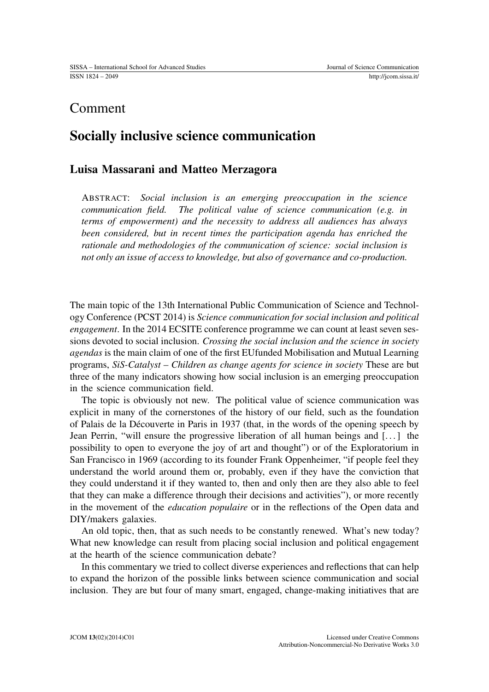## Comment

## Socially inclusive science communication

## Luisa Massarani and Matteo Merzagora

ABSTRACT: *Social inclusion is an emerging preoccupation in the science communication field. The political value of science communication (e.g. in terms of empowerment) and the necessity to address all audiences has always been considered, but in recent times the participation agenda has enriched the rationale and methodologies of the communication of science: social inclusion is not only an issue of access to knowledge, but also of governance and co-production.*

The main topic of the 13th International Public Communication of Science and Technology Conference (PCST 2014) is *Science communication for social inclusion and political engagement*. In the 2014 ECSITE conference programme we can count at least seven sessions devoted to social inclusion. *Crossing the social inclusion and the science in society agendas* is the main claim of one of the first EUfunded Mobilisation and Mutual Learning programs, *SiS-Catalyst – Children as change agents for science in society* These are but three of the many indicators showing how social inclusion is an emerging preoccupation in the science communication field.

The topic is obviously not new. The political value of science communication was explicit in many of the cornerstones of the history of our field, such as the foundation of Palais de la Découverte in Paris in 1937 (that, in the words of the opening speech by Jean Perrin, "will ensure the progressive liberation of all human beings and [. . . ] the possibility to open to everyone the joy of art and thought") or of the Exploratorium in San Francisco in 1969 (according to its founder Frank Oppenheimer, "if people feel they understand the world around them or, probably, even if they have the conviction that they could understand it if they wanted to, then and only then are they also able to feel that they can make a difference through their decisions and activities"), or more recently in the movement of the *education populaire* or in the reflections of the Open data and DIY/makers galaxies.

An old topic, then, that as such needs to be constantly renewed. What's new today? What new knowledge can result from placing social inclusion and political engagement at the hearth of the science communication debate?

In this commentary we tried to collect diverse experiences and reflections that can help to expand the horizon of the possible links between science communication and social inclusion. They are but four of many smart, engaged, change-making initiatives that are